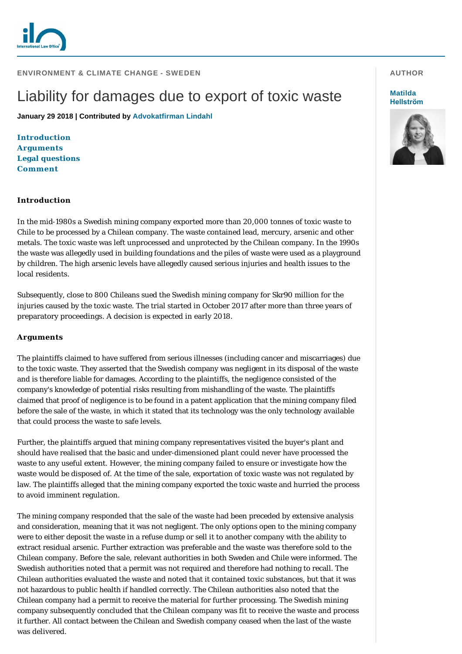

# Liability for damages due to export of toxic waste

**January 29 2018 | Contributed by [Advokatfirman Lindahl](http://www.internationallawoffice.com/gesr.ashx?l=7XZBUBH)**

**[Introduction](#page-0-0) [Arguments](#page-0-1) [Legal questions](#page-1-0) [Comment](#page-1-1)**

### <span id="page-0-0"></span>**Introduction**

In the mid-1980s a Swedish mining company exported more than 20,000 tonnes of toxic waste to Chile to be processed by a Chilean company. The waste contained lead, mercury, arsenic and other metals. The toxic waste was left unprocessed and unprotected by the Chilean company. In the 1990s the waste was allegedly used in building foundations and the piles of waste were used as a playground by children. The high arsenic levels have allegedly caused serious injuries and health issues to the local residents.

Subsequently, close to 800 Chileans sued the Swedish mining company for Skr90 million for the injuries caused by the toxic waste. The trial started in October 2017 after more than three years of preparatory proceedings. A decision is expected in early 2018.

## <span id="page-0-1"></span>**Arguments**

The plaintiffs claimed to have suffered from serious illnesses (including cancer and miscarriages) due to the toxic waste. They asserted that the Swedish company was negligent in its disposal of the waste and is therefore liable for damages. According to the plaintiffs, the negligence consisted of the company's knowledge of potential risks resulting from mishandling of the waste. The plaintiffs claimed that proof of negligence is to be found in a patent application that the mining company filed before the sale of the waste, in which it stated that its technology was the only technology available that could process the waste to safe levels.

Further, the plaintiffs argued that mining company representatives visited the buyer's plant and should have realised that the basic and under-dimensioned plant could never have processed the waste to any useful extent. However, the mining company failed to ensure or investigate how the waste would be disposed of. At the time of the sale, exportation of toxic waste was not regulated by law. The plaintiffs alleged that the mining company exported the toxic waste and hurried the process to avoid imminent regulation.

The mining company responded that the sale of the waste had been preceded by extensive analysis and consideration, meaning that it was not negligent. The only options open to the mining company were to either deposit the waste in a refuse dump or sell it to another company with the ability to extract residual arsenic. Further extraction was preferable and the waste was therefore sold to the Chilean company. Before the sale, relevant authorities in both Sweden and Chile were informed. The Swedish authorities noted that a permit was not required and therefore had nothing to recall. The Chilean authorities evaluated the waste and noted that it contained toxic substances, but that it was not hazardous to public health if handled correctly. The Chilean authorities also noted that the Chilean company had a permit to receive the material for further processing. The Swedish mining company subsequently concluded that the Chilean company was fit to receive the waste and process it further. All contact between the Chilean and Swedish company ceased when the last of the waste was delivered.

#### **AUTHOR**

#### **Matilda [Hellström](http://www.internationallawoffice.com/gesr.ashx?l=7XZBUCD)**